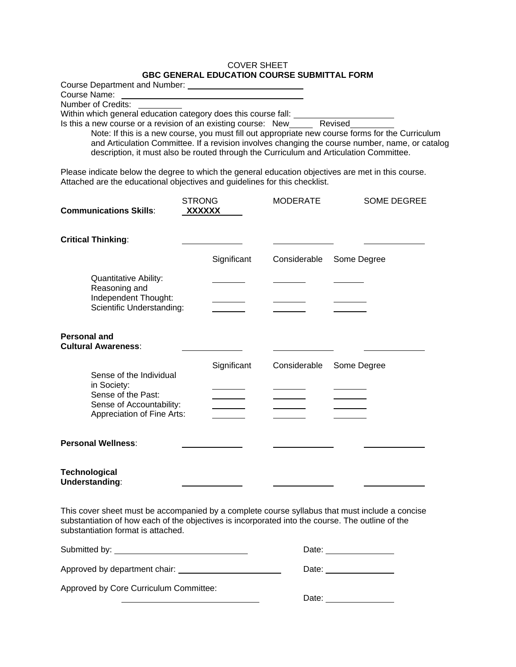### COVER SHEET **GBC GENERAL EDUCATION COURSE SUBMITTAL FORM**

| <b>Course Department and Number:</b>                                                             |         |
|--------------------------------------------------------------------------------------------------|---------|
| Course Name:                                                                                     |         |
| Number of Credits:                                                                               |         |
| Within which general education category does this course fall:                                   |         |
| Is this a new course or a revision of an existing course: New                                    | Revised |
| Note: If this is a new course, you must fill out appropriate new course forms for the Curriculum |         |

and Articulation Committee. If a revision involves changing the course number, name, or catalog description, it must also be routed through the Curriculum and Articulation Committee.

Please indicate below the degree to which the general education objectives are met in this course. Attached are the educational objectives and guidelines for this checklist.

| <b>Communications Skills:</b>                                                | <b>STRONG</b><br>XXXXXX | <b>MODERATE</b> | <b>SOME DEGREE</b> |
|------------------------------------------------------------------------------|-------------------------|-----------------|--------------------|
| <b>Critical Thinking:</b>                                                    |                         |                 |                    |
|                                                                              | Significant             | Considerable    | Some Degree        |
| <b>Quantitative Ability:</b><br>Reasoning and                                |                         |                 |                    |
| Independent Thought:<br>Scientific Understanding:                            |                         |                 |                    |
| <b>Personal and</b><br><b>Cultural Awareness:</b>                            |                         |                 |                    |
| Sense of the Individual<br>in Society:                                       | Significant             | Considerable    | Some Degree        |
| Sense of the Past:<br>Sense of Accountability:<br>Appreciation of Fine Arts: |                         |                 |                    |
| <b>Personal Wellness:</b>                                                    |                         |                 |                    |
| <b>Technological</b><br>Understanding:                                       |                         |                 |                    |

This cover sheet must be accompanied by a complete course syllabus that must include a concise substantiation of how each of the objectives is incorporated into the course. The outline of the substantiation format is attached.

|                                        | Date: |
|----------------------------------------|-------|
| Approved by department chair:          | Date: |
| Approved by Core Curriculum Committee: | Date: |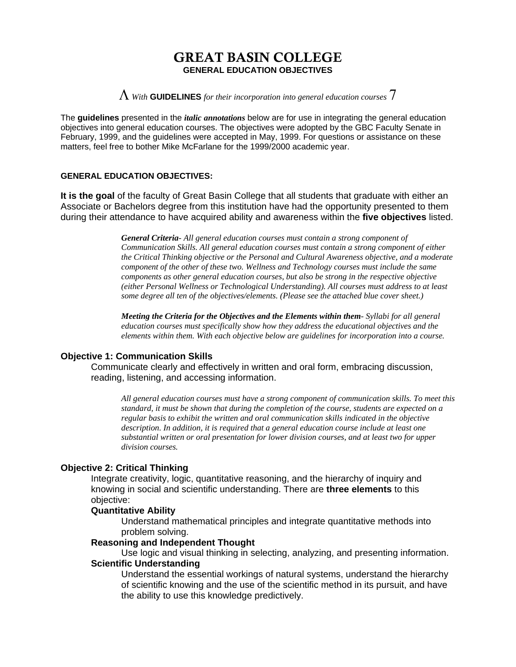# GREAT BASIN COLLEGE **GENERAL EDUCATION OBJECTIVES**

Λ *With* **GUIDELINES** *for their incorporation into general education courses* 7

The **guidelines** presented in the *italic annotations* below are for use in integrating the general education objectives into general education courses. The objectives were adopted by the GBC Faculty Senate in February, 1999, and the guidelines were accepted in May, 1999. For questions or assistance on these matters, feel free to bother Mike McFarlane for the 1999/2000 academic year.

## **GENERAL EDUCATION OBJECTIVES:**

**It is the goal** of the faculty of Great Basin College that all students that graduate with either an Associate or Bachelors degree from this institution have had the opportunity presented to them during their attendance to have acquired ability and awareness within the **five objectives** listed.

> *General Criteria- All general education courses must contain a strong component of Communication Skills. All general education courses must contain a strong component of either the Critical Thinking objective or the Personal and Cultural Awareness objective, and a moderate component of the other of these two. Wellness and Technology courses must include the same components as other general education courses, but also be strong in the respective objective (either Personal Wellness or Technological Understanding). All courses must address to at least some degree all ten of the objectives/elements. (Please see the attached blue cover sheet.)*

*Meeting the Criteria for the Objectives and the Elements within them- Syllabi for all general education courses must specifically show how they address the educational objectives and the elements within them. With each objective below are guidelines for incorporation into a course.*

## **Objective 1: Communication Skills**

Communicate clearly and effectively in written and oral form, embracing discussion, reading, listening, and accessing information.

 *All general education courses must have a strong component of communication skills. To meet this standard, it must be shown that during the completion of the course, students are expected on a regular basis to exhibit the written and oral communication skills indicated in the objective description. In addition, it is required that a general education course include at least one substantial written or oral presentation for lower division courses, and at least two for upper division courses.*

# **Objective 2: Critical Thinking**

Integrate creativity, logic, quantitative reasoning, and the hierarchy of inquiry and knowing in social and scientific understanding. There are **three elements** to this objective:

### **Quantitative Ability**

Understand mathematical principles and integrate quantitative methods into problem solving.

### **Reasoning and Independent Thought**

Use logic and visual thinking in selecting, analyzing, and presenting information.  **Scientific Understanding**

Understand the essential workings of natural systems, understand the hierarchy of scientific knowing and the use of the scientific method in its pursuit, and have the ability to use this knowledge predictively.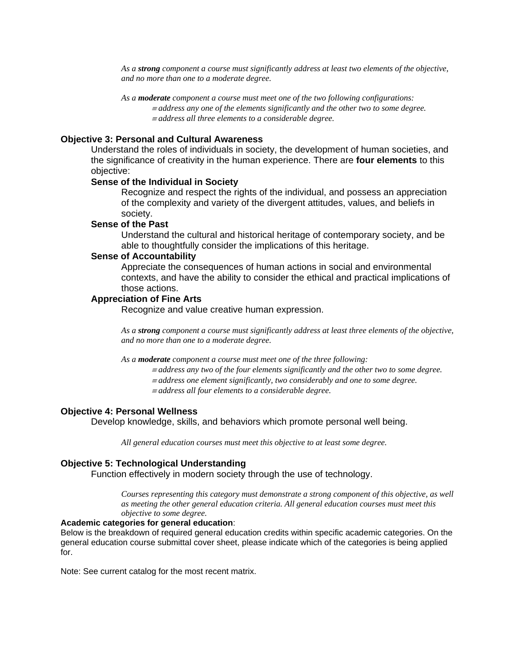*As a strong component a course must significantly address at least two elements of the objective, and no more than one to a moderate degree.* 

 *As a moderate component a course must meet one of the two following configurations:*  <sup>≡</sup> *address any one of the elements significantly and the other two to some degree.* <sup>≡</sup> *address all three elements to a considerable degree.*

# **Objective 3: Personal and Cultural Awareness**

Understand the roles of individuals in society, the development of human societies, and the significance of creativity in the human experience. There are **four elements** to this objective:

#### **Sense of the Individual in Society**

Recognize and respect the rights of the individual, and possess an appreciation of the complexity and variety of the divergent attitudes, values, and beliefs in society.

### **Sense of the Past**

Understand the cultural and historical heritage of contemporary society, and be able to thoughtfully consider the implications of this heritage.

### **Sense of Accountability**

Appreciate the consequences of human actions in social and environmental contexts, and have the ability to consider the ethical and practical implications of those actions.

#### **Appreciation of Fine Arts**

Recognize and value creative human expression.

 *As a strong component a course must significantly address at least three elements of the objective, and no more than one to a moderate degree.* 

*As a moderate component a course must meet one of the three following:* 

- <sup>≡</sup> *address any two of the four elements significantly and the other two to some degree.*
- <sup>≡</sup> *address one element significantly, two considerably and one to some degree.*
- <sup>≡</sup> *address all four elements to a considerable degree.*

#### **Objective 4: Personal Wellness**

Develop knowledge, skills, and behaviors which promote personal well being.

 *All general education courses must meet this objective to at least some degree.*

#### **Objective 5: Technological Understanding**

Function effectively in modern society through the use of technology.

 *Courses representing this category must demonstrate a strong component of this objective, as well as meeting the other general education criteria. All general education courses must meet this objective to some degree.*

# **Academic categories for general education**:

Below is the breakdown of required general education credits within specific academic categories. On the general education course submittal cover sheet, please indicate which of the categories is being applied for.

Note: See current catalog for the most recent matrix.